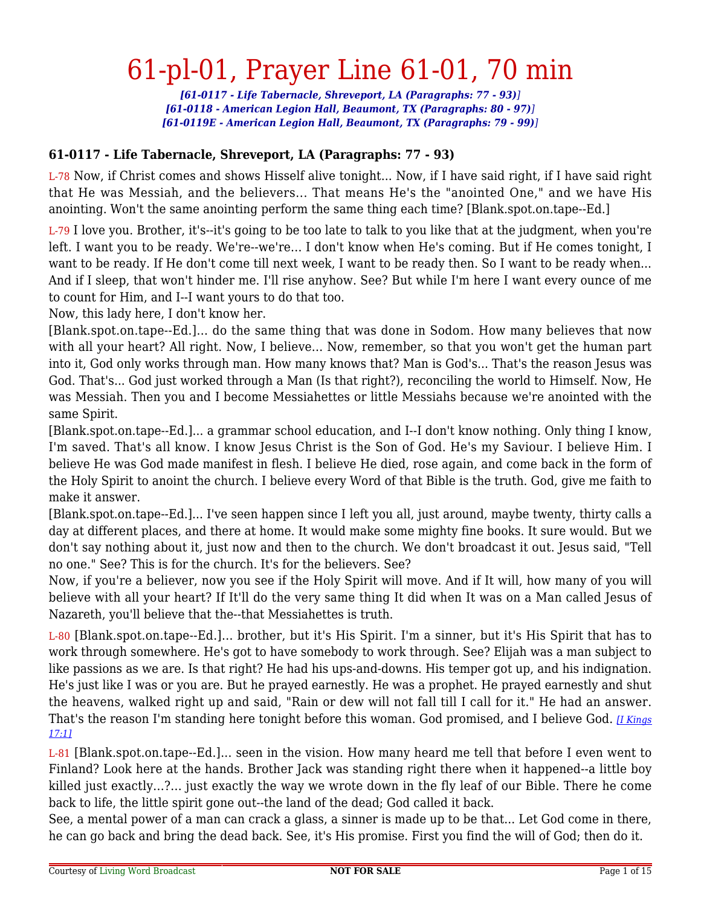# 61-pl-01, Prayer Line 61-01, 70 min

*[61-0117 - Life Tabernacle, Shreveport, LA (Paragraphs: 77 - 93)] [61-0118 - American Legion Hall, Beaumont, TX (Paragraphs: 80 - 97)] [61-0119E - American Legion Hall, Beaumont, TX (Paragraphs: 79 - 99)]*

#### **61-0117 - Life Tabernacle, Shreveport, LA (Paragraphs: 77 - 93)**

L-78 Now, if Christ comes and shows Hisself alive tonight... Now, if I have said right, if I have said right that He was Messiah, and the believers... That means He's the "anointed One," and we have His anointing. Won't the same anointing perform the same thing each time? [Blank.spot.on.tape--Ed.]

L-79 I love you. Brother, it's--it's going to be too late to talk to you like that at the judgment, when you're left. I want you to be ready. We're--we're... I don't know when He's coming. But if He comes tonight, I want to be ready. If He don't come till next week, I want to be ready then. So I want to be ready when... And if I sleep, that won't hinder me. I'll rise anyhow. See? But while I'm here I want every ounce of me to count for Him, and I--I want yours to do that too.

Now, this lady here, I don't know her.

[Blank.spot.on.tape--Ed.]... do the same thing that was done in Sodom. How many believes that now with all your heart? All right. Now, I believe... Now, remember, so that you won't get the human part into it, God only works through man. How many knows that? Man is God's... That's the reason Jesus was God. That's... God just worked through a Man (Is that right?), reconciling the world to Himself. Now, He was Messiah. Then you and I become Messiahettes or little Messiahs because we're anointed with the same Spirit.

[Blank.spot.on.tape--Ed.]... a grammar school education, and I--I don't know nothing. Only thing I know, I'm saved. That's all know. I know Jesus Christ is the Son of God. He's my Saviour. I believe Him. I believe He was God made manifest in flesh. I believe He died, rose again, and come back in the form of the Holy Spirit to anoint the church. I believe every Word of that Bible is the truth. God, give me faith to make it answer.

[Blank.spot.on.tape--Ed.]... I've seen happen since I left you all, just around, maybe twenty, thirty calls a day at different places, and there at home. It would make some mighty fine books. It sure would. But we don't say nothing about it, just now and then to the church. We don't broadcast it out. Jesus said, "Tell no one." See? This is for the church. It's for the believers. See?

Now, if you're a believer, now you see if the Holy Spirit will move. And if It will, how many of you will believe with all your heart? If It'll do the very same thing It did when It was on a Man called Jesus of Nazareth, you'll believe that the--that Messiahettes is truth.

L-80 [Blank.spot.on.tape--Ed.]... brother, but it's His Spirit. I'm a sinner, but it's His Spirit that has to work through somewhere. He's got to have somebody to work through. See? Elijah was a man subject to like passions as we are. Is that right? He had his ups-and-downs. His temper got up, and his indignation. He's just like I was or you are. But he prayed earnestly. He was a prophet. He prayed earnestly and shut the heavens, walked right up and said, "Rain or dew will not fall till I call for it." He had an answer. That's the reason I'm standing here tonight before this woman. God promised, and I believe God. *[\[I Kings](https://lwbcast.net/LWBKJVBible/?scripture=1_Kings17:1) [17:1\]](https://lwbcast.net/LWBKJVBible/?scripture=1_Kings17:1)*

L-81 [Blank.spot.on.tape--Ed.]... seen in the vision. How many heard me tell that before I even went to Finland? Look here at the hands. Brother Jack was standing right there when it happened--a little boy killed just exactly...?... just exactly the way we wrote down in the fly leaf of our Bible. There he come back to life, the little spirit gone out--the land of the dead; God called it back.

See, a mental power of a man can crack a glass, a sinner is made up to be that... Let God come in there, he can go back and bring the dead back. See, it's His promise. First you find the will of God; then do it.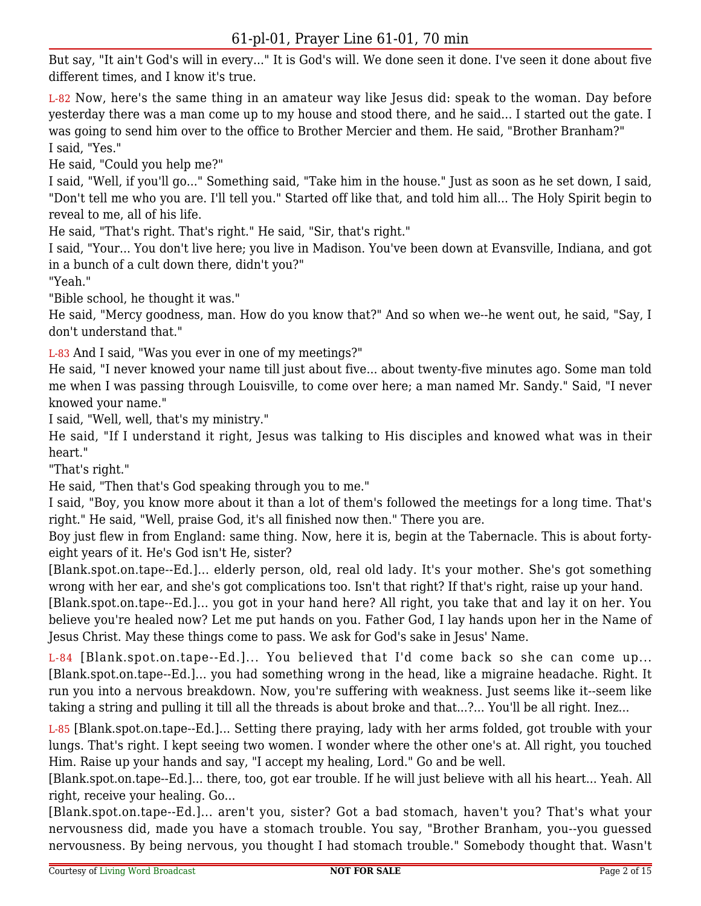But say, "It ain't God's will in every..." It is God's will. We done seen it done. I've seen it done about five different times, and I know it's true.

L-82 Now, here's the same thing in an amateur way like Jesus did: speak to the woman. Day before yesterday there was a man come up to my house and stood there, and he said... I started out the gate. I was going to send him over to the office to Brother Mercier and them. He said, "Brother Branham?" I said, "Yes."

He said, "Could you help me?"

I said, "Well, if you'll go..." Something said, "Take him in the house." Just as soon as he set down, I said, "Don't tell me who you are. I'll tell you." Started off like that, and told him all... The Holy Spirit begin to reveal to me, all of his life.

He said, "That's right. That's right." He said, "Sir, that's right."

I said, "Your... You don't live here; you live in Madison. You've been down at Evansville, Indiana, and got in a bunch of a cult down there, didn't you?"

"Yeah."

"Bible school, he thought it was."

He said, "Mercy goodness, man. How do you know that?" And so when we--he went out, he said, "Say, I don't understand that."

L-83 And I said, "Was you ever in one of my meetings?"

He said, "I never knowed your name till just about five... about twenty-five minutes ago. Some man told me when I was passing through Louisville, to come over here; a man named Mr. Sandy." Said, "I never knowed your name."

I said, "Well, well, that's my ministry."

He said, "If I understand it right, Jesus was talking to His disciples and knowed what was in their heart."

"That's right."

He said, "Then that's God speaking through you to me."

I said, "Boy, you know more about it than a lot of them's followed the meetings for a long time. That's right." He said, "Well, praise God, it's all finished now then." There you are.

Boy just flew in from England: same thing. Now, here it is, begin at the Tabernacle. This is about fortyeight years of it. He's God isn't He, sister?

[Blank.spot.on.tape--Ed.]... elderly person, old, real old lady. It's your mother. She's got something wrong with her ear, and she's got complications too. Isn't that right? If that's right, raise up your hand.

[Blank.spot.on.tape--Ed.]... you got in your hand here? All right, you take that and lay it on her. You believe you're healed now? Let me put hands on you. Father God, I lay hands upon her in the Name of Jesus Christ. May these things come to pass. We ask for God's sake in Jesus' Name.

L-84 [Blank.spot.on.tape--Ed.]... You believed that I'd come back so she can come up... [Blank.spot.on.tape--Ed.]... you had something wrong in the head, like a migraine headache. Right. It run you into a nervous breakdown. Now, you're suffering with weakness. Just seems like it--seem like taking a string and pulling it till all the threads is about broke and that...?... You'll be all right. Inez...

L-85 [Blank.spot.on.tape--Ed.]... Setting there praying, lady with her arms folded, got trouble with your lungs. That's right. I kept seeing two women. I wonder where the other one's at. All right, you touched Him. Raise up your hands and say, "I accept my healing, Lord." Go and be well.

[Blank.spot.on.tape--Ed.]... there, too, got ear trouble. If he will just believe with all his heart... Yeah. All right, receive your healing. Go...

[Blank.spot.on.tape--Ed.]... aren't you, sister? Got a bad stomach, haven't you? That's what your nervousness did, made you have a stomach trouble. You say, "Brother Branham, you--you guessed nervousness. By being nervous, you thought I had stomach trouble." Somebody thought that. Wasn't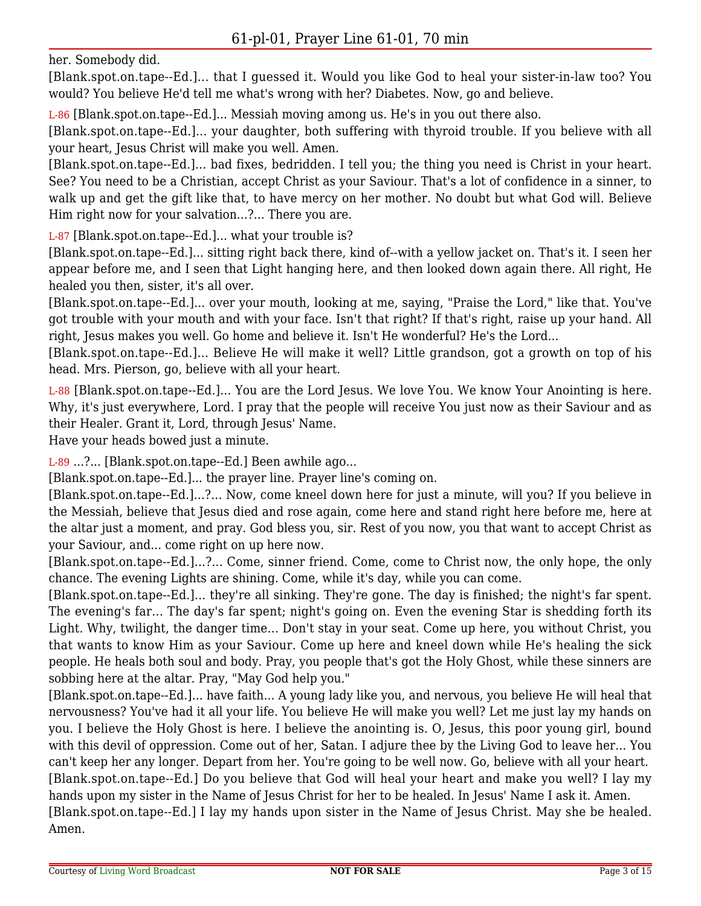her. Somebody did.

[Blank.spot.on.tape--Ed.]... that I guessed it. Would you like God to heal your sister-in-law too? You would? You believe He'd tell me what's wrong with her? Diabetes. Now, go and believe.

L-86 [Blank.spot.on.tape--Ed.]... Messiah moving among us. He's in you out there also.

[Blank.spot.on.tape--Ed.]... your daughter, both suffering with thyroid trouble. If you believe with all your heart, Jesus Christ will make you well. Amen.

[Blank.spot.on.tape--Ed.]... bad fixes, bedridden. I tell you; the thing you need is Christ in your heart. See? You need to be a Christian, accept Christ as your Saviour. That's a lot of confidence in a sinner, to walk up and get the gift like that, to have mercy on her mother. No doubt but what God will. Believe Him right now for your salvation...?... There you are.

L-87 [Blank.spot.on.tape--Ed.]... what your trouble is?

[Blank.spot.on.tape--Ed.]... sitting right back there, kind of--with a yellow jacket on. That's it. I seen her appear before me, and I seen that Light hanging here, and then looked down again there. All right, He healed you then, sister, it's all over.

[Blank.spot.on.tape--Ed.]... over your mouth, looking at me, saying, "Praise the Lord," like that. You've got trouble with your mouth and with your face. Isn't that right? If that's right, raise up your hand. All right, Jesus makes you well. Go home and believe it. Isn't He wonderful? He's the Lord...

[Blank.spot.on.tape--Ed.]... Believe He will make it well? Little grandson, got a growth on top of his head. Mrs. Pierson, go, believe with all your heart.

L-88 [Blank.spot.on.tape--Ed.]... You are the Lord Jesus. We love You. We know Your Anointing is here. Why, it's just everywhere, Lord. I pray that the people will receive You just now as their Saviour and as their Healer. Grant it, Lord, through Jesus' Name.

Have your heads bowed just a minute.

L-89 ...?... [Blank.spot.on.tape--Ed.] Been awhile ago...

[Blank.spot.on.tape--Ed.]... the prayer line. Prayer line's coming on.

[Blank.spot.on.tape--Ed.]...?... Now, come kneel down here for just a minute, will you? If you believe in the Messiah, believe that Jesus died and rose again, come here and stand right here before me, here at the altar just a moment, and pray. God bless you, sir. Rest of you now, you that want to accept Christ as your Saviour, and... come right on up here now.

[Blank.spot.on.tape--Ed.]...?... Come, sinner friend. Come, come to Christ now, the only hope, the only chance. The evening Lights are shining. Come, while it's day, while you can come.

[Blank.spot.on.tape--Ed.]... they're all sinking. They're gone. The day is finished; the night's far spent. The evening's far... The day's far spent; night's going on. Even the evening Star is shedding forth its Light. Why, twilight, the danger time... Don't stay in your seat. Come up here, you without Christ, you that wants to know Him as your Saviour. Come up here and kneel down while He's healing the sick people. He heals both soul and body. Pray, you people that's got the Holy Ghost, while these sinners are sobbing here at the altar. Pray, "May God help you."

[Blank.spot.on.tape--Ed.]... have faith... A young lady like you, and nervous, you believe He will heal that nervousness? You've had it all your life. You believe He will make you well? Let me just lay my hands on you. I believe the Holy Ghost is here. I believe the anointing is. O, Jesus, this poor young girl, bound with this devil of oppression. Come out of her, Satan. I adjure thee by the Living God to leave her... You can't keep her any longer. Depart from her. You're going to be well now. Go, believe with all your heart. [Blank.spot.on.tape--Ed.] Do you believe that God will heal your heart and make you well? I lay my hands upon my sister in the Name of Jesus Christ for her to be healed. In Jesus' Name I ask it. Amen. [Blank.spot.on.tape--Ed.] I lay my hands upon sister in the Name of Jesus Christ. May she be healed. Amen.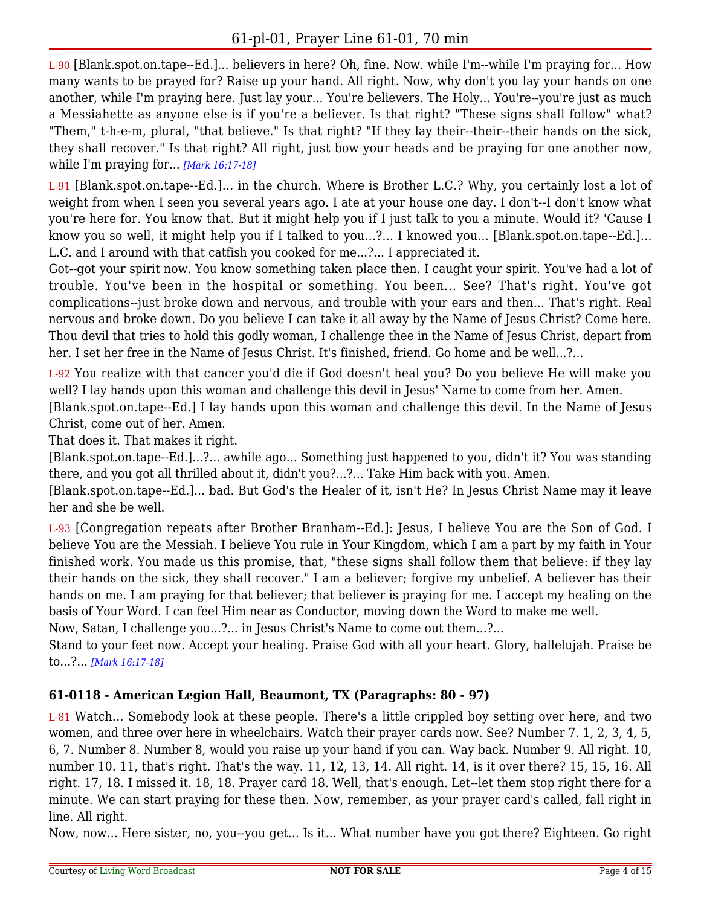L-90 [Blank.spot.on.tape--Ed.]... believers in here? Oh, fine. Now. while I'm--while I'm praying for... How many wants to be prayed for? Raise up your hand. All right. Now, why don't you lay your hands on one another, while I'm praying here. Just lay your... You're believers. The Holy... You're--you're just as much a Messiahette as anyone else is if you're a believer. Is that right? "These signs shall follow" what? "Them," t-h-e-m, plural, "that believe." Is that right? "If they lay their--their--their hands on the sick, they shall recover." Is that right? All right, just bow your heads and be praying for one another now, while I'm praying for... *[\[Mark 16:17-18\]](https://lwbcast.net/LWBKJVBible/?scripture=Mark16:17)*

L-91 [Blank.spot.on.tape--Ed.]... in the church. Where is Brother L.C.? Why, you certainly lost a lot of weight from when I seen you several years ago. I ate at your house one day. I don't--I don't know what you're here for. You know that. But it might help you if I just talk to you a minute. Would it? 'Cause I know you so well, it might help you if I talked to you...?... I knowed you... [Blank.spot.on.tape--Ed.]... L.C. and I around with that catfish you cooked for me...?... I appreciated it.

Got--got your spirit now. You know something taken place then. I caught your spirit. You've had a lot of trouble. You've been in the hospital or something. You been... See? That's right. You've got complications--just broke down and nervous, and trouble with your ears and then... That's right. Real nervous and broke down. Do you believe I can take it all away by the Name of Jesus Christ? Come here. Thou devil that tries to hold this godly woman, I challenge thee in the Name of Jesus Christ, depart from her. I set her free in the Name of Jesus Christ. It's finished, friend. Go home and be well...?...

L-92 You realize with that cancer you'd die if God doesn't heal you? Do you believe He will make you well? I lay hands upon this woman and challenge this devil in Jesus' Name to come from her. Amen.

[Blank.spot.on.tape--Ed.] I lay hands upon this woman and challenge this devil. In the Name of Jesus Christ, come out of her. Amen.

That does it. That makes it right.

[Blank.spot.on.tape--Ed.]...?... awhile ago... Something just happened to you, didn't it? You was standing there, and you got all thrilled about it, didn't you?...?... Take Him back with you. Amen.

[Blank.spot.on.tape--Ed.]... bad. But God's the Healer of it, isn't He? In Jesus Christ Name may it leave her and she be well.

L-93 [Congregation repeats after Brother Branham--Ed.]: Jesus, I believe You are the Son of God. I believe You are the Messiah. I believe You rule in Your Kingdom, which I am a part by my faith in Your finished work. You made us this promise, that, "these signs shall follow them that believe: if they lay their hands on the sick, they shall recover." I am a believer; forgive my unbelief. A believer has their hands on me. I am praying for that believer; that believer is praying for me. I accept my healing on the basis of Your Word. I can feel Him near as Conductor, moving down the Word to make me well.

Now, Satan, I challenge you...?... in Jesus Christ's Name to come out them...?...

Stand to your feet now. Accept your healing. Praise God with all your heart. Glory, hallelujah. Praise be to...?... *[\[Mark 16:17-18\]](https://lwbcast.net/LWBKJVBible/?scripture=Mark16:17)*

### **61-0118 - American Legion Hall, Beaumont, TX (Paragraphs: 80 - 97)**

L-81 Watch... Somebody look at these people. There's a little crippled boy setting over here, and two women, and three over here in wheelchairs. Watch their prayer cards now. See? Number 7. 1, 2, 3, 4, 5, 6, 7. Number 8. Number 8, would you raise up your hand if you can. Way back. Number 9. All right. 10, number 10. 11, that's right. That's the way. 11, 12, 13, 14. All right. 14, is it over there? 15, 15, 16. All right. 17, 18. I missed it. 18, 18. Prayer card 18. Well, that's enough. Let--let them stop right there for a minute. We can start praying for these then. Now, remember, as your prayer card's called, fall right in line. All right.

Now, now... Here sister, no, you--you get... Is it... What number have you got there? Eighteen. Go right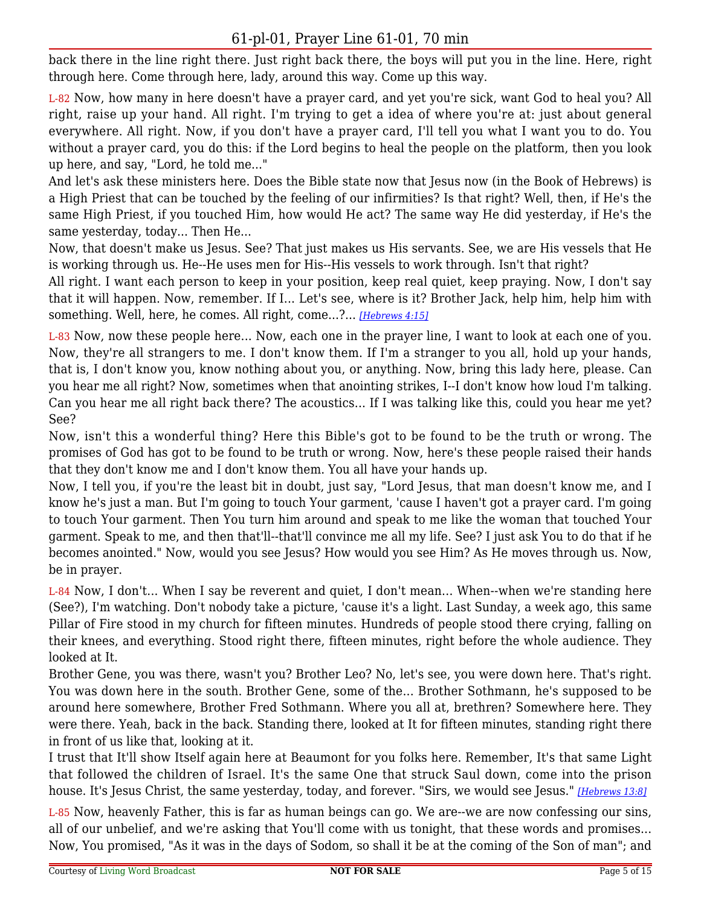# 61-pl-01, Prayer Line 61-01, 70 min

back there in the line right there. Just right back there, the boys will put you in the line. Here, right through here. Come through here, lady, around this way. Come up this way.

L-82 Now, how many in here doesn't have a prayer card, and yet you're sick, want God to heal you? All right, raise up your hand. All right. I'm trying to get a idea of where you're at: just about general everywhere. All right. Now, if you don't have a prayer card, I'll tell you what I want you to do. You without a prayer card, you do this: if the Lord begins to heal the people on the platform, then you look up here, and say, "Lord, he told me..."

And let's ask these ministers here. Does the Bible state now that Jesus now (in the Book of Hebrews) is a High Priest that can be touched by the feeling of our infirmities? Is that right? Well, then, if He's the same High Priest, if you touched Him, how would He act? The same way He did yesterday, if He's the same yesterday, today... Then He...

Now, that doesn't make us Jesus. See? That just makes us His servants. See, we are His vessels that He is working through us. He--He uses men for His--His vessels to work through. Isn't that right?

All right. I want each person to keep in your position, keep real quiet, keep praying. Now, I don't say that it will happen. Now, remember. If I... Let's see, where is it? Brother Jack, help him, help him with something. Well, here, he comes. All right, come...?... *[\[Hebrews 4:15\]](https://lwbcast.net/LWBKJVBible/?scripture=Hebrews4:15)*

L-83 Now, now these people here... Now, each one in the prayer line, I want to look at each one of you. Now, they're all strangers to me. I don't know them. If I'm a stranger to you all, hold up your hands, that is, I don't know you, know nothing about you, or anything. Now, bring this lady here, please. Can you hear me all right? Now, sometimes when that anointing strikes, I--I don't know how loud I'm talking. Can you hear me all right back there? The acoustics... If I was talking like this, could you hear me yet? See?

Now, isn't this a wonderful thing? Here this Bible's got to be found to be the truth or wrong. The promises of God has got to be found to be truth or wrong. Now, here's these people raised their hands that they don't know me and I don't know them. You all have your hands up.

Now, I tell you, if you're the least bit in doubt, just say, "Lord Jesus, that man doesn't know me, and I know he's just a man. But I'm going to touch Your garment, 'cause I haven't got a prayer card. I'm going to touch Your garment. Then You turn him around and speak to me like the woman that touched Your garment. Speak to me, and then that'll--that'll convince me all my life. See? I just ask You to do that if he becomes anointed." Now, would you see Jesus? How would you see Him? As He moves through us. Now, be in prayer.

L-84 Now, I don't... When I say be reverent and quiet, I don't mean... When--when we're standing here (See?), I'm watching. Don't nobody take a picture, 'cause it's a light. Last Sunday, a week ago, this same Pillar of Fire stood in my church for fifteen minutes. Hundreds of people stood there crying, falling on their knees, and everything. Stood right there, fifteen minutes, right before the whole audience. They looked at It.

Brother Gene, you was there, wasn't you? Brother Leo? No, let's see, you were down here. That's right. You was down here in the south. Brother Gene, some of the... Brother Sothmann, he's supposed to be around here somewhere, Brother Fred Sothmann. Where you all at, brethren? Somewhere here. They were there. Yeah, back in the back. Standing there, looked at It for fifteen minutes, standing right there in front of us like that, looking at it.

I trust that It'll show Itself again here at Beaumont for you folks here. Remember, It's that same Light that followed the children of Israel. It's the same One that struck Saul down, come into the prison house. It's Jesus Christ, the same yesterday, today, and forever. "Sirs, we would see Jesus." *[\[Hebrews 13:8\]](https://lwbcast.net/LWBKJVBible/?scripture=Hebrews13:8)*

L-85 Now, heavenly Father, this is far as human beings can go. We are--we are now confessing our sins, all of our unbelief, and we're asking that You'll come with us tonight, that these words and promises... Now, You promised, "As it was in the days of Sodom, so shall it be at the coming of the Son of man"; and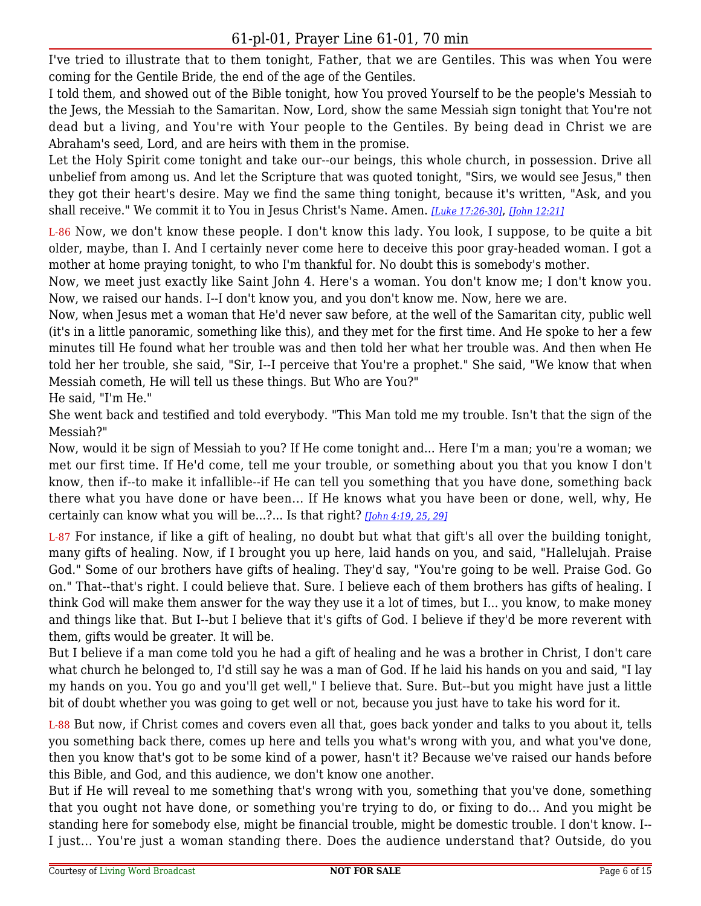I've tried to illustrate that to them tonight, Father, that we are Gentiles. This was when You were coming for the Gentile Bride, the end of the age of the Gentiles.

I told them, and showed out of the Bible tonight, how You proved Yourself to be the people's Messiah to the Jews, the Messiah to the Samaritan. Now, Lord, show the same Messiah sign tonight that You're not dead but a living, and You're with Your people to the Gentiles. By being dead in Christ we are Abraham's seed, Lord, and are heirs with them in the promise.

Let the Holy Spirit come tonight and take our--our beings, this whole church, in possession. Drive all unbelief from among us. And let the Scripture that was quoted tonight, "Sirs, we would see Jesus," then they got their heart's desire. May we find the same thing tonight, because it's written, "Ask, and you shall receive." We commit it to You in Jesus Christ's Name. Amen. *[\[Luke 17:26-30\]](https://lwbcast.net/LWBKJVBible/?scripture=Luke17:26)*, *[\[John 12:21\]](https://lwbcast.net/LWBKJVBible/?scripture=John12:21)*

L-86 Now, we don't know these people. I don't know this lady. You look, I suppose, to be quite a bit older, maybe, than I. And I certainly never come here to deceive this poor gray-headed woman. I got a mother at home praying tonight, to who I'm thankful for. No doubt this is somebody's mother.

Now, we meet just exactly like Saint John 4. Here's a woman. You don't know me; I don't know you. Now, we raised our hands. I--I don't know you, and you don't know me. Now, here we are.

Now, when Jesus met a woman that He'd never saw before, at the well of the Samaritan city, public well (it's in a little panoramic, something like this), and they met for the first time. And He spoke to her a few minutes till He found what her trouble was and then told her what her trouble was. And then when He told her her trouble, she said, "Sir, I--I perceive that You're a prophet." She said, "We know that when Messiah cometh, He will tell us these things. But Who are You?"

He said, "I'm He."

She went back and testified and told everybody. "This Man told me my trouble. Isn't that the sign of the Messiah?"

Now, would it be sign of Messiah to you? If He come tonight and... Here I'm a man; you're a woman; we met our first time. If He'd come, tell me your trouble, or something about you that you know I don't know, then if--to make it infallible--if He can tell you something that you have done, something back there what you have done or have been... If He knows what you have been or done, well, why, He certainly can know what you will be...?... Is that right? *[\[John 4:19, 25, 29\]](https://lwbcast.net/LWBKJVBible/?scripture=John4:19)*

L-87 For instance, if like a gift of healing, no doubt but what that gift's all over the building tonight, many gifts of healing. Now, if I brought you up here, laid hands on you, and said, "Hallelujah. Praise God." Some of our brothers have gifts of healing. They'd say, "You're going to be well. Praise God. Go on." That--that's right. I could believe that. Sure. I believe each of them brothers has gifts of healing. I think God will make them answer for the way they use it a lot of times, but I... you know, to make money and things like that. But I--but I believe that it's gifts of God. I believe if they'd be more reverent with them, gifts would be greater. It will be.

But I believe if a man come told you he had a gift of healing and he was a brother in Christ, I don't care what church he belonged to, I'd still say he was a man of God. If he laid his hands on you and said, "I lay my hands on you. You go and you'll get well," I believe that. Sure. But--but you might have just a little bit of doubt whether you was going to get well or not, because you just have to take his word for it.

L-88 But now, if Christ comes and covers even all that, goes back yonder and talks to you about it, tells you something back there, comes up here and tells you what's wrong with you, and what you've done, then you know that's got to be some kind of a power, hasn't it? Because we've raised our hands before this Bible, and God, and this audience, we don't know one another.

But if He will reveal to me something that's wrong with you, something that you've done, something that you ought not have done, or something you're trying to do, or fixing to do... And you might be standing here for somebody else, might be financial trouble, might be domestic trouble. I don't know. I-- I just... You're just a woman standing there. Does the audience understand that? Outside, do you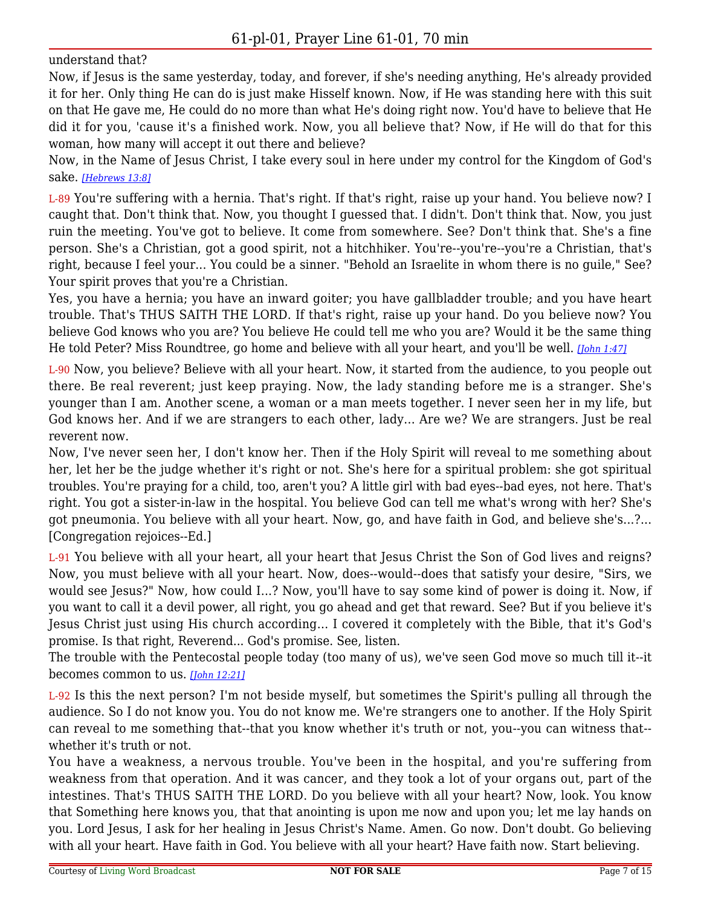understand that?

Now, if Jesus is the same yesterday, today, and forever, if she's needing anything, He's already provided it for her. Only thing He can do is just make Hisself known. Now, if He was standing here with this suit on that He gave me, He could do no more than what He's doing right now. You'd have to believe that He did it for you, 'cause it's a finished work. Now, you all believe that? Now, if He will do that for this woman, how many will accept it out there and believe?

Now, in the Name of Jesus Christ, I take every soul in here under my control for the Kingdom of God's sake. *[\[Hebrews 13:8\]](https://lwbcast.net/LWBKJVBible/?scripture=Hebrews13:8)*

L-89 You're suffering with a hernia. That's right. If that's right, raise up your hand. You believe now? I caught that. Don't think that. Now, you thought I guessed that. I didn't. Don't think that. Now, you just ruin the meeting. You've got to believe. It come from somewhere. See? Don't think that. She's a fine person. She's a Christian, got a good spirit, not a hitchhiker. You're--you're--you're a Christian, that's right, because I feel your... You could be a sinner. "Behold an Israelite in whom there is no guile," See? Your spirit proves that you're a Christian.

Yes, you have a hernia; you have an inward goiter; you have gallbladder trouble; and you have heart trouble. That's THUS SAITH THE LORD. If that's right, raise up your hand. Do you believe now? You believe God knows who you are? You believe He could tell me who you are? Would it be the same thing He told Peter? Miss Roundtree, go home and believe with all your heart, and you'll be well. *[\[John 1:47\]](https://lwbcast.net/LWBKJVBible/?scripture=John1:47)*

L-90 Now, you believe? Believe with all your heart. Now, it started from the audience, to you people out there. Be real reverent; just keep praying. Now, the lady standing before me is a stranger. She's younger than I am. Another scene, a woman or a man meets together. I never seen her in my life, but God knows her. And if we are strangers to each other, lady... Are we? We are strangers. Just be real reverent now.

Now, I've never seen her, I don't know her. Then if the Holy Spirit will reveal to me something about her, let her be the judge whether it's right or not. She's here for a spiritual problem: she got spiritual troubles. You're praying for a child, too, aren't you? A little girl with bad eyes--bad eyes, not here. That's right. You got a sister-in-law in the hospital. You believe God can tell me what's wrong with her? She's got pneumonia. You believe with all your heart. Now, go, and have faith in God, and believe she's...?... [Congregation rejoices--Ed.]

L-91 You believe with all your heart, all your heart that Jesus Christ the Son of God lives and reigns? Now, you must believe with all your heart. Now, does--would--does that satisfy your desire, "Sirs, we would see Jesus?" Now, how could I...? Now, you'll have to say some kind of power is doing it. Now, if you want to call it a devil power, all right, you go ahead and get that reward. See? But if you believe it's Jesus Christ just using His church according... I covered it completely with the Bible, that it's God's promise. Is that right, Reverend... God's promise. See, listen.

The trouble with the Pentecostal people today (too many of us), we've seen God move so much till it--it becomes common to us. *[\[John 12:21\]](https://lwbcast.net/LWBKJVBible/?scripture=John12:21)*

L-92 Is this the next person? I'm not beside myself, but sometimes the Spirit's pulling all through the audience. So I do not know you. You do not know me. We're strangers one to another. If the Holy Spirit can reveal to me something that--that you know whether it's truth or not, you--you can witness that- whether it's truth or not.

You have a weakness, a nervous trouble. You've been in the hospital, and you're suffering from weakness from that operation. And it was cancer, and they took a lot of your organs out, part of the intestines. That's THUS SAITH THE LORD. Do you believe with all your heart? Now, look. You know that Something here knows you, that that anointing is upon me now and upon you; let me lay hands on you. Lord Jesus, I ask for her healing in Jesus Christ's Name. Amen. Go now. Don't doubt. Go believing with all your heart. Have faith in God. You believe with all your heart? Have faith now. Start believing.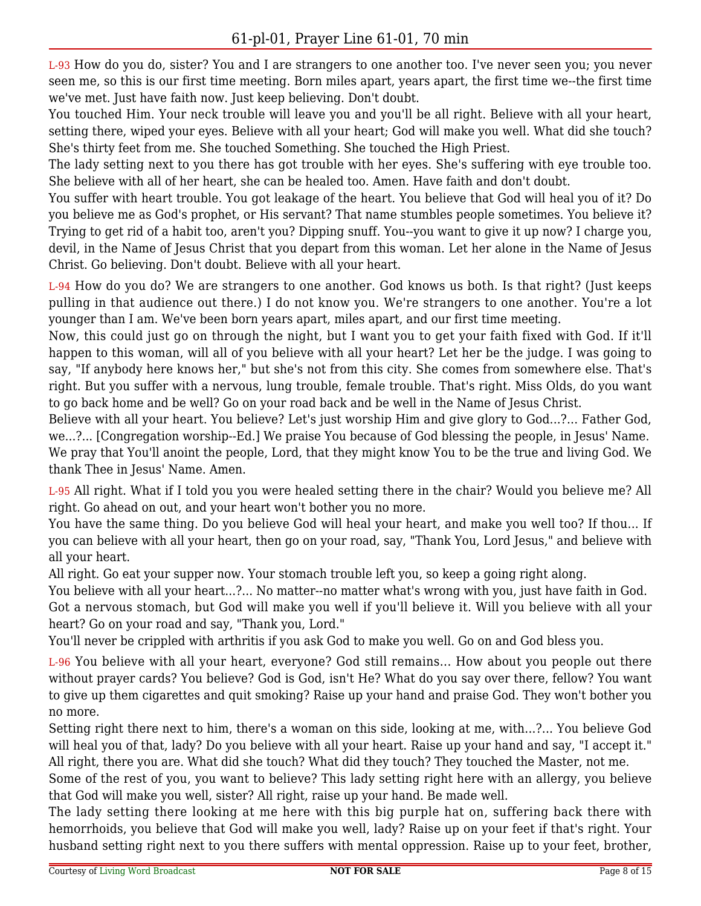L-93 How do you do, sister? You and I are strangers to one another too. I've never seen you; you never seen me, so this is our first time meeting. Born miles apart, years apart, the first time we--the first time we've met. Just have faith now. Just keep believing. Don't doubt.

You touched Him. Your neck trouble will leave you and you'll be all right. Believe with all your heart, setting there, wiped your eyes. Believe with all your heart; God will make you well. What did she touch? She's thirty feet from me. She touched Something. She touched the High Priest.

The lady setting next to you there has got trouble with her eyes. She's suffering with eye trouble too. She believe with all of her heart, she can be healed too. Amen. Have faith and don't doubt.

You suffer with heart trouble. You got leakage of the heart. You believe that God will heal you of it? Do you believe me as God's prophet, or His servant? That name stumbles people sometimes. You believe it? Trying to get rid of a habit too, aren't you? Dipping snuff. You--you want to give it up now? I charge you, devil, in the Name of Jesus Christ that you depart from this woman. Let her alone in the Name of Jesus Christ. Go believing. Don't doubt. Believe with all your heart.

L-94 How do you do? We are strangers to one another. God knows us both. Is that right? (Just keeps pulling in that audience out there.) I do not know you. We're strangers to one another. You're a lot younger than I am. We've been born years apart, miles apart, and our first time meeting.

Now, this could just go on through the night, but I want you to get your faith fixed with God. If it'll happen to this woman, will all of you believe with all your heart? Let her be the judge. I was going to say, "If anybody here knows her," but she's not from this city. She comes from somewhere else. That's right. But you suffer with a nervous, lung trouble, female trouble. That's right. Miss Olds, do you want to go back home and be well? Go on your road back and be well in the Name of Jesus Christ.

Believe with all your heart. You believe? Let's just worship Him and give glory to God...?... Father God, we...?... [Congregation worship--Ed.] We praise You because of God blessing the people, in Jesus' Name. We pray that You'll anoint the people, Lord, that they might know You to be the true and living God. We thank Thee in Jesus' Name. Amen.

L-95 All right. What if I told you you were healed setting there in the chair? Would you believe me? All right. Go ahead on out, and your heart won't bother you no more.

You have the same thing. Do you believe God will heal your heart, and make you well too? If thou... If you can believe with all your heart, then go on your road, say, "Thank You, Lord Jesus," and believe with all your heart.

All right. Go eat your supper now. Your stomach trouble left you, so keep a going right along.

You believe with all your heart...?... No matter--no matter what's wrong with you, just have faith in God. Got a nervous stomach, but God will make you well if you'll believe it. Will you believe with all your heart? Go on your road and say, "Thank you, Lord."

You'll never be crippled with arthritis if you ask God to make you well. Go on and God bless you.

L-96 You believe with all your heart, everyone? God still remains... How about you people out there without prayer cards? You believe? God is God, isn't He? What do you say over there, fellow? You want to give up them cigarettes and quit smoking? Raise up your hand and praise God. They won't bother you no more.

Setting right there next to him, there's a woman on this side, looking at me, with...?... You believe God will heal you of that, lady? Do you believe with all your heart. Raise up your hand and say, "I accept it." All right, there you are. What did she touch? What did they touch? They touched the Master, not me.

Some of the rest of you, you want to believe? This lady setting right here with an allergy, you believe that God will make you well, sister? All right, raise up your hand. Be made well.

The lady setting there looking at me here with this big purple hat on, suffering back there with hemorrhoids, you believe that God will make you well, lady? Raise up on your feet if that's right. Your husband setting right next to you there suffers with mental oppression. Raise up to your feet, brother,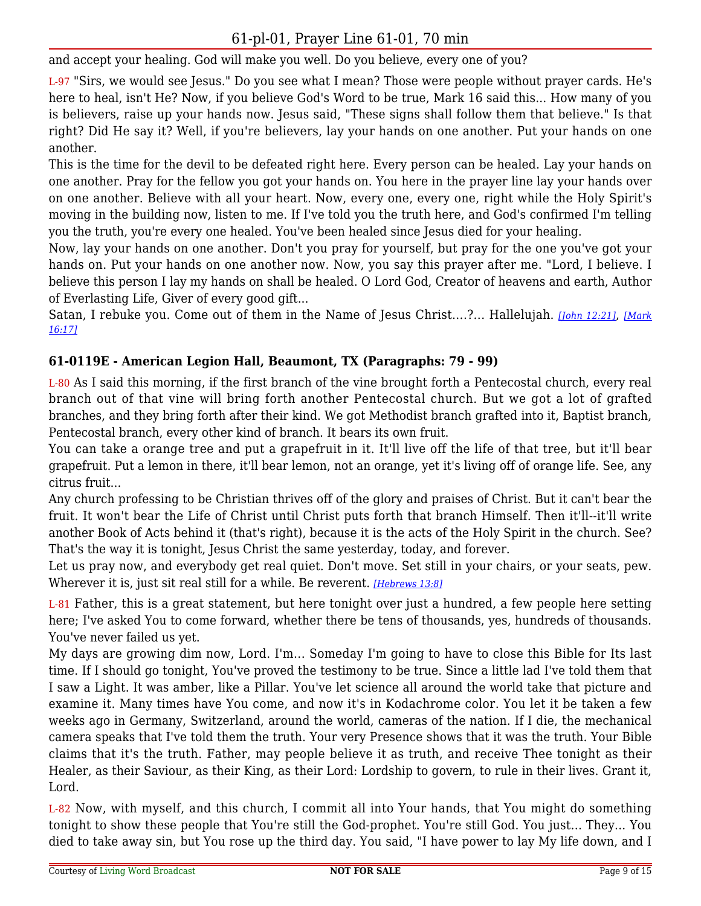and accept your healing. God will make you well. Do you believe, every one of you?

L-97 "Sirs, we would see Jesus." Do you see what I mean? Those were people without prayer cards. He's here to heal, isn't He? Now, if you believe God's Word to be true, Mark 16 said this... How many of you is believers, raise up your hands now. Jesus said, "These signs shall follow them that believe." Is that right? Did He say it? Well, if you're believers, lay your hands on one another. Put your hands on one another.

This is the time for the devil to be defeated right here. Every person can be healed. Lay your hands on one another. Pray for the fellow you got your hands on. You here in the prayer line lay your hands over on one another. Believe with all your heart. Now, every one, every one, right while the Holy Spirit's moving in the building now, listen to me. If I've told you the truth here, and God's confirmed I'm telling you the truth, you're every one healed. You've been healed since Jesus died for your healing.

Now, lay your hands on one another. Don't you pray for yourself, but pray for the one you've got your hands on. Put your hands on one another now. Now, you say this prayer after me. "Lord, I believe. I believe this person I lay my hands on shall be healed. O Lord God, Creator of heavens and earth, Author of Everlasting Life, Giver of every good gift...

Satan, I rebuke you. Come out of them in the Name of Jesus Christ....?... Hallelujah. *[\[John 12:21\]](https://lwbcast.net/LWBKJVBible/?scripture=John12:21)*, *[\[Mark](https://lwbcast.net/LWBKJVBible/?scripture=Mark16:17) [16:17\]](https://lwbcast.net/LWBKJVBible/?scripture=Mark16:17)*

## **61-0119E - American Legion Hall, Beaumont, TX (Paragraphs: 79 - 99)**

L-80 As I said this morning, if the first branch of the vine brought forth a Pentecostal church, every real branch out of that vine will bring forth another Pentecostal church. But we got a lot of grafted branches, and they bring forth after their kind. We got Methodist branch grafted into it, Baptist branch, Pentecostal branch, every other kind of branch. It bears its own fruit.

You can take a orange tree and put a grapefruit in it. It'll live off the life of that tree, but it'll bear grapefruit. Put a lemon in there, it'll bear lemon, not an orange, yet it's living off of orange life. See, any citrus fruit...

Any church professing to be Christian thrives off of the glory and praises of Christ. But it can't bear the fruit. It won't bear the Life of Christ until Christ puts forth that branch Himself. Then it'll--it'll write another Book of Acts behind it (that's right), because it is the acts of the Holy Spirit in the church. See? That's the way it is tonight, Jesus Christ the same yesterday, today, and forever.

Let us pray now, and everybody get real quiet. Don't move. Set still in your chairs, or your seats, pew. Wherever it is, just sit real still for a while. Be reverent. *[\[Hebrews 13:8\]](https://lwbcast.net/LWBKJVBible/?scripture=Hebrews13:8)*

L-81 Father, this is a great statement, but here tonight over just a hundred, a few people here setting here; I've asked You to come forward, whether there be tens of thousands, yes, hundreds of thousands. You've never failed us yet.

My days are growing dim now, Lord. I'm... Someday I'm going to have to close this Bible for Its last time. If I should go tonight, You've proved the testimony to be true. Since a little lad I've told them that I saw a Light. It was amber, like a Pillar. You've let science all around the world take that picture and examine it. Many times have You come, and now it's in Kodachrome color. You let it be taken a few weeks ago in Germany, Switzerland, around the world, cameras of the nation. If I die, the mechanical camera speaks that I've told them the truth. Your very Presence shows that it was the truth. Your Bible claims that it's the truth. Father, may people believe it as truth, and receive Thee tonight as their Healer, as their Saviour, as their King, as their Lord: Lordship to govern, to rule in their lives. Grant it, Lord.

L-82 Now, with myself, and this church, I commit all into Your hands, that You might do something tonight to show these people that You're still the God-prophet. You're still God. You just... They... You died to take away sin, but You rose up the third day. You said, "I have power to lay My life down, and I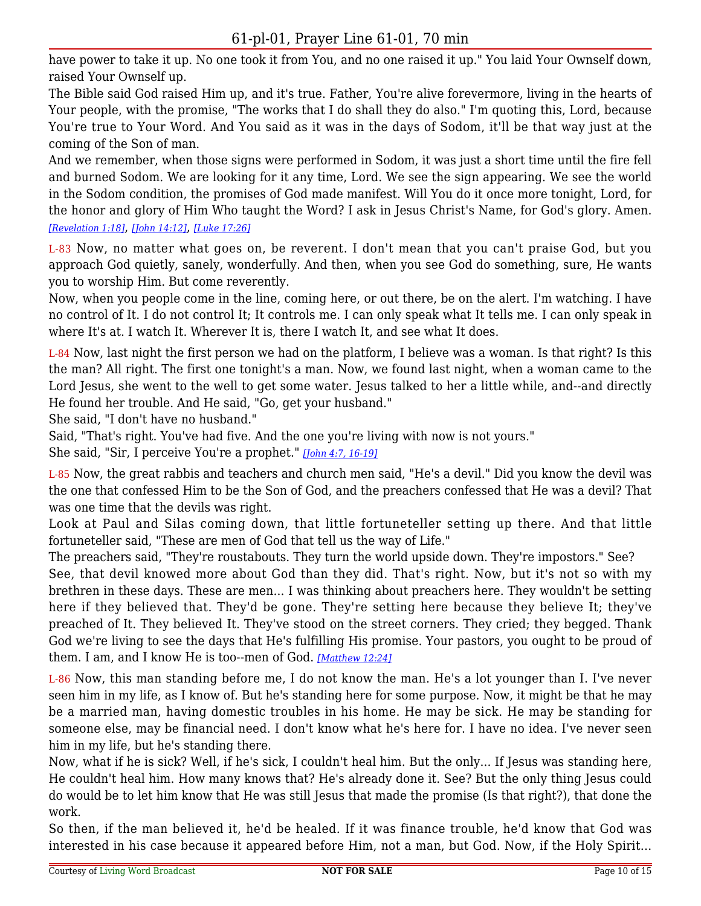have power to take it up. No one took it from You, and no one raised it up." You laid Your Ownself down, raised Your Ownself up.

The Bible said God raised Him up, and it's true. Father, You're alive forevermore, living in the hearts of Your people, with the promise, "The works that I do shall they do also." I'm quoting this, Lord, because You're true to Your Word. And You said as it was in the days of Sodom, it'll be that way just at the coming of the Son of man.

And we remember, when those signs were performed in Sodom, it was just a short time until the fire fell and burned Sodom. We are looking for it any time, Lord. We see the sign appearing. We see the world in the Sodom condition, the promises of God made manifest. Will You do it once more tonight, Lord, for the honor and glory of Him Who taught the Word? I ask in Jesus Christ's Name, for God's glory. Amen. *[\[Revelation 1:18\]](https://lwbcast.net/LWBKJVBible/?scripture=Revelation1:18)*, *[\[John 14:12\]](https://lwbcast.net/LWBKJVBible/?scripture=John14:12)*, *[\[Luke 17:26\]](https://lwbcast.net/LWBKJVBible/?scripture=Luke17:26)*

L-83 Now, no matter what goes on, be reverent. I don't mean that you can't praise God, but you approach God quietly, sanely, wonderfully. And then, when you see God do something, sure, He wants you to worship Him. But come reverently.

Now, when you people come in the line, coming here, or out there, be on the alert. I'm watching. I have no control of It. I do not control It; It controls me. I can only speak what It tells me. I can only speak in where It's at. I watch It. Wherever It is, there I watch It, and see what It does.

L-84 Now, last night the first person we had on the platform, I believe was a woman. Is that right? Is this the man? All right. The first one tonight's a man. Now, we found last night, when a woman came to the Lord Jesus, she went to the well to get some water. Jesus talked to her a little while, and--and directly He found her trouble. And He said, "Go, get your husband."

She said, "I don't have no husband."

Said, "That's right. You've had five. And the one you're living with now is not yours."

She said, "Sir, I perceive You're a prophet." *[\[John 4:7, 16-19\]](https://lwbcast.net/LWBKJVBible/?scripture=John4:7)*

L-85 Now, the great rabbis and teachers and church men said, "He's a devil." Did you know the devil was the one that confessed Him to be the Son of God, and the preachers confessed that He was a devil? That was one time that the devils was right.

Look at Paul and Silas coming down, that little fortuneteller setting up there. And that little fortuneteller said, "These are men of God that tell us the way of Life."

The preachers said, "They're roustabouts. They turn the world upside down. They're impostors." See? See, that devil knowed more about God than they did. That's right. Now, but it's not so with my brethren in these days. These are men... I was thinking about preachers here. They wouldn't be setting here if they believed that. They'd be gone. They're setting here because they believe It; they've preached of It. They believed It. They've stood on the street corners. They cried; they begged. Thank God we're living to see the days that He's fulfilling His promise. Your pastors, you ought to be proud of them. I am, and I know He is too--men of God. *[\[Matthew 12:24\]](https://lwbcast.net/LWBKJVBible/?scripture=Matthew12:24)*

L-86 Now, this man standing before me, I do not know the man. He's a lot younger than I. I've never seen him in my life, as I know of. But he's standing here for some purpose. Now, it might be that he may be a married man, having domestic troubles in his home. He may be sick. He may be standing for someone else, may be financial need. I don't know what he's here for. I have no idea. I've never seen him in my life, but he's standing there.

Now, what if he is sick? Well, if he's sick, I couldn't heal him. But the only... If Jesus was standing here, He couldn't heal him. How many knows that? He's already done it. See? But the only thing Jesus could do would be to let him know that He was still Jesus that made the promise (Is that right?), that done the work.

So then, if the man believed it, he'd be healed. If it was finance trouble, he'd know that God was interested in his case because it appeared before Him, not a man, but God. Now, if the Holy Spirit...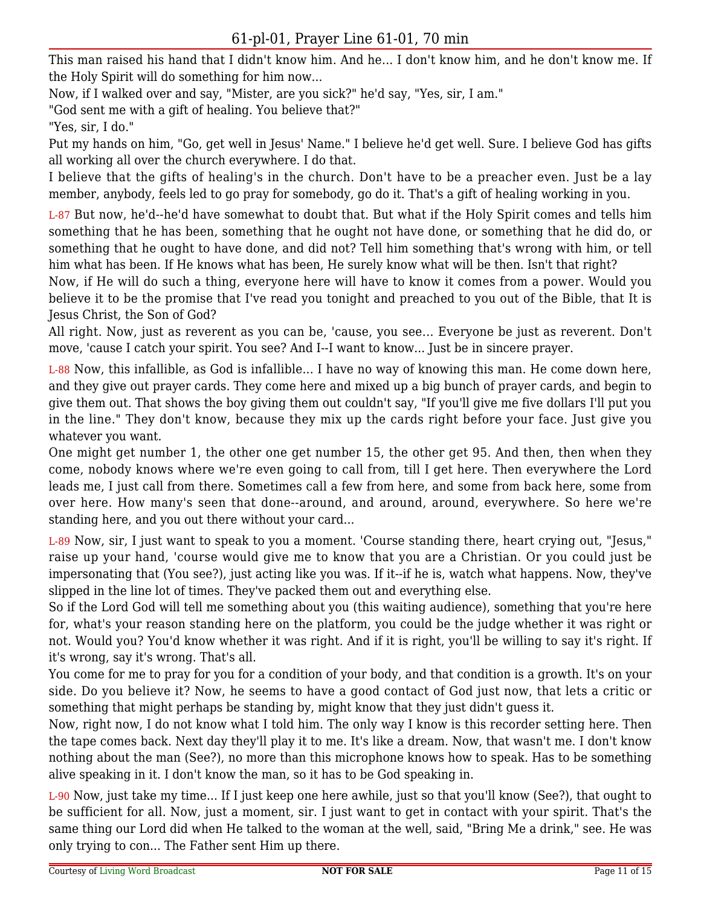This man raised his hand that I didn't know him. And he... I don't know him, and he don't know me. If the Holy Spirit will do something for him now...

Now, if I walked over and say, "Mister, are you sick?" he'd say, "Yes, sir, I am."

"God sent me with a gift of healing. You believe that?"

"Yes, sir, I do."

Put my hands on him, "Go, get well in Jesus' Name." I believe he'd get well. Sure. I believe God has gifts all working all over the church everywhere. I do that.

I believe that the gifts of healing's in the church. Don't have to be a preacher even. Just be a lay member, anybody, feels led to go pray for somebody, go do it. That's a gift of healing working in you.

L-87 But now, he'd--he'd have somewhat to doubt that. But what if the Holy Spirit comes and tells him something that he has been, something that he ought not have done, or something that he did do, or something that he ought to have done, and did not? Tell him something that's wrong with him, or tell him what has been. If He knows what has been, He surely know what will be then. Isn't that right?

Now, if He will do such a thing, everyone here will have to know it comes from a power. Would you believe it to be the promise that I've read you tonight and preached to you out of the Bible, that It is Jesus Christ, the Son of God?

All right. Now, just as reverent as you can be, 'cause, you see... Everyone be just as reverent. Don't move, 'cause I catch your spirit. You see? And I--I want to know... Just be in sincere prayer.

L-88 Now, this infallible, as God is infallible... I have no way of knowing this man. He come down here, and they give out prayer cards. They come here and mixed up a big bunch of prayer cards, and begin to give them out. That shows the boy giving them out couldn't say, "If you'll give me five dollars I'll put you in the line." They don't know, because they mix up the cards right before your face. Just give you whatever you want.

One might get number 1, the other one get number 15, the other get 95. And then, then when they come, nobody knows where we're even going to call from, till I get here. Then everywhere the Lord leads me, I just call from there. Sometimes call a few from here, and some from back here, some from over here. How many's seen that done--around, and around, around, everywhere. So here we're standing here, and you out there without your card...

L-89 Now, sir, I just want to speak to you a moment. 'Course standing there, heart crying out, "Jesus," raise up your hand, 'course would give me to know that you are a Christian. Or you could just be impersonating that (You see?), just acting like you was. If it--if he is, watch what happens. Now, they've slipped in the line lot of times. They've packed them out and everything else.

So if the Lord God will tell me something about you (this waiting audience), something that you're here for, what's your reason standing here on the platform, you could be the judge whether it was right or not. Would you? You'd know whether it was right. And if it is right, you'll be willing to say it's right. If it's wrong, say it's wrong. That's all.

You come for me to pray for you for a condition of your body, and that condition is a growth. It's on your side. Do you believe it? Now, he seems to have a good contact of God just now, that lets a critic or something that might perhaps be standing by, might know that they just didn't guess it.

Now, right now, I do not know what I told him. The only way I know is this recorder setting here. Then the tape comes back. Next day they'll play it to me. It's like a dream. Now, that wasn't me. I don't know nothing about the man (See?), no more than this microphone knows how to speak. Has to be something alive speaking in it. I don't know the man, so it has to be God speaking in.

L-90 Now, just take my time... If I just keep one here awhile, just so that you'll know (See?), that ought to be sufficient for all. Now, just a moment, sir. I just want to get in contact with your spirit. That's the same thing our Lord did when He talked to the woman at the well, said, "Bring Me a drink," see. He was only trying to con... The Father sent Him up there.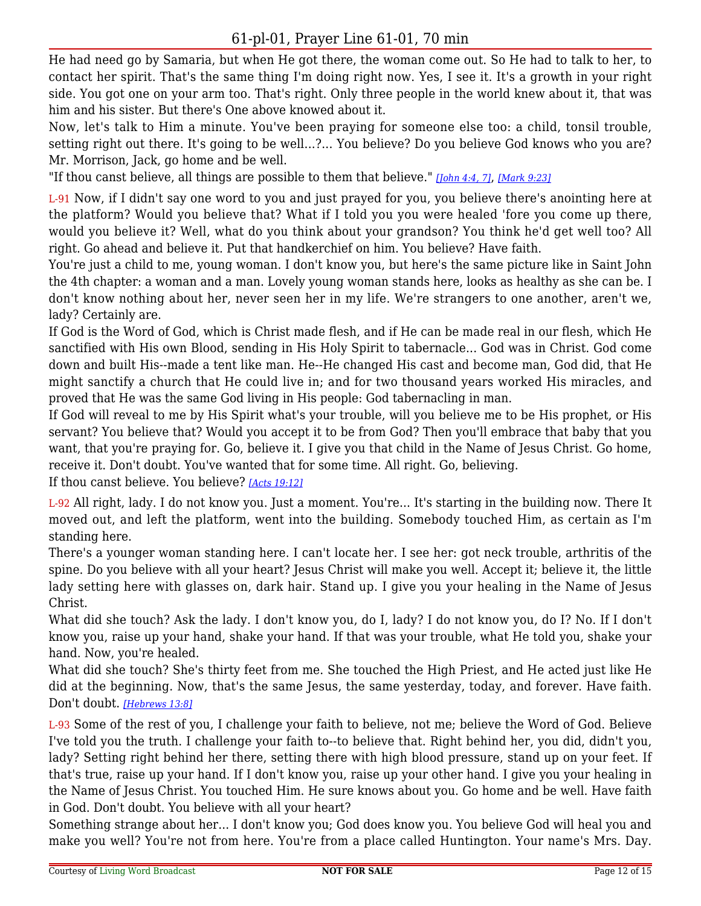He had need go by Samaria, but when He got there, the woman come out. So He had to talk to her, to contact her spirit. That's the same thing I'm doing right now. Yes, I see it. It's a growth in your right side. You got one on your arm too. That's right. Only three people in the world knew about it, that was him and his sister. But there's One above knowed about it.

Now, let's talk to Him a minute. You've been praying for someone else too: a child, tonsil trouble, setting right out there. It's going to be well...?... You believe? Do you believe God knows who you are? Mr. Morrison, Jack, go home and be well.

"If thou canst believe, all things are possible to them that believe." *[\[John 4:4, 7\]](https://lwbcast.net/LWBKJVBible/?scripture=John4:4)*, *[\[Mark 9:23\]](https://lwbcast.net/LWBKJVBible/?scripture=Mark9:23)*

L-91 Now, if I didn't say one word to you and just prayed for you, you believe there's anointing here at the platform? Would you believe that? What if I told you you were healed 'fore you come up there, would you believe it? Well, what do you think about your grandson? You think he'd get well too? All right. Go ahead and believe it. Put that handkerchief on him. You believe? Have faith.

You're just a child to me, young woman. I don't know you, but here's the same picture like in Saint John the 4th chapter: a woman and a man. Lovely young woman stands here, looks as healthy as she can be. I don't know nothing about her, never seen her in my life. We're strangers to one another, aren't we, lady? Certainly are.

If God is the Word of God, which is Christ made flesh, and if He can be made real in our flesh, which He sanctified with His own Blood, sending in His Holy Spirit to tabernacle... God was in Christ. God come down and built His--made a tent like man. He--He changed His cast and become man, God did, that He might sanctify a church that He could live in; and for two thousand years worked His miracles, and proved that He was the same God living in His people: God tabernacling in man.

If God will reveal to me by His Spirit what's your trouble, will you believe me to be His prophet, or His servant? You believe that? Would you accept it to be from God? Then you'll embrace that baby that you want, that you're praying for. Go, believe it. I give you that child in the Name of Jesus Christ. Go home, receive it. Don't doubt. You've wanted that for some time. All right. Go, believing.

If thou canst believe. You believe? *[\[Acts 19:12\]](https://lwbcast.net/LWBKJVBible/?scripture=Acts19:12)*

L-92 All right, lady. I do not know you. Just a moment. You're... It's starting in the building now. There It moved out, and left the platform, went into the building. Somebody touched Him, as certain as I'm standing here.

There's a younger woman standing here. I can't locate her. I see her: got neck trouble, arthritis of the spine. Do you believe with all your heart? Jesus Christ will make you well. Accept it; believe it, the little lady setting here with glasses on, dark hair. Stand up. I give you your healing in the Name of Jesus Christ.

What did she touch? Ask the lady. I don't know you, do I, lady? I do not know you, do I? No. If I don't know you, raise up your hand, shake your hand. If that was your trouble, what He told you, shake your hand. Now, you're healed.

What did she touch? She's thirty feet from me. She touched the High Priest, and He acted just like He did at the beginning. Now, that's the same Jesus, the same yesterday, today, and forever. Have faith. Don't doubt. *[\[Hebrews 13:8\]](https://lwbcast.net/LWBKJVBible/?scripture=Hebrews13:8)*

L-93 Some of the rest of you, I challenge your faith to believe, not me; believe the Word of God. Believe I've told you the truth. I challenge your faith to--to believe that. Right behind her, you did, didn't you, lady? Setting right behind her there, setting there with high blood pressure, stand up on your feet. If that's true, raise up your hand. If I don't know you, raise up your other hand. I give you your healing in the Name of Jesus Christ. You touched Him. He sure knows about you. Go home and be well. Have faith in God. Don't doubt. You believe with all your heart?

Something strange about her... I don't know you; God does know you. You believe God will heal you and make you well? You're not from here. You're from a place called Huntington. Your name's Mrs. Day.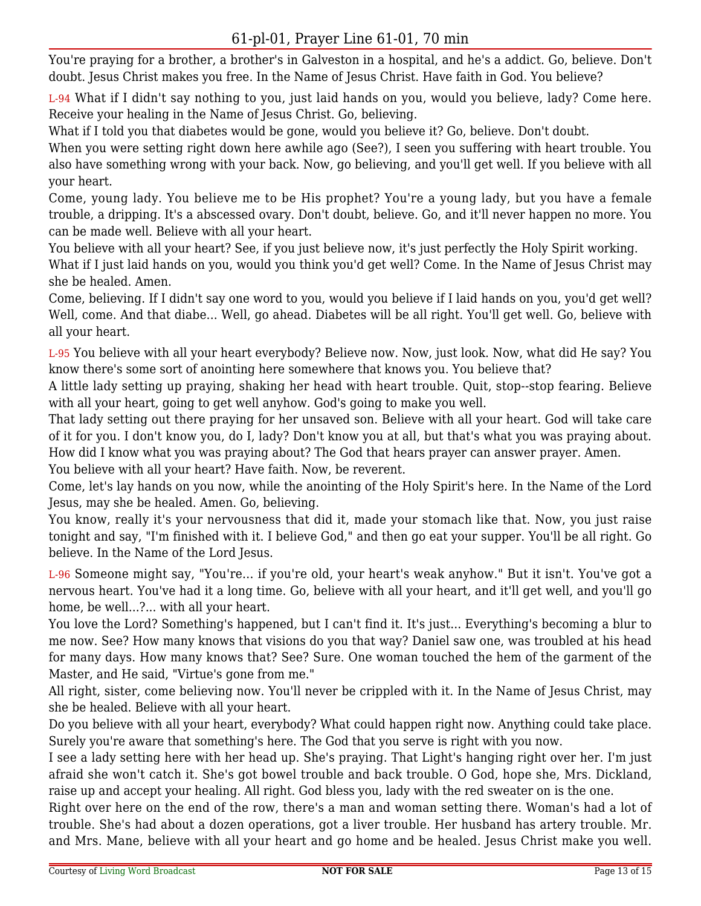You're praying for a brother, a brother's in Galveston in a hospital, and he's a addict. Go, believe. Don't doubt. Jesus Christ makes you free. In the Name of Jesus Christ. Have faith in God. You believe?

L-94 What if I didn't say nothing to you, just laid hands on you, would you believe, lady? Come here. Receive your healing in the Name of Jesus Christ. Go, believing.

What if I told you that diabetes would be gone, would you believe it? Go, believe. Don't doubt.

When you were setting right down here awhile ago (See?), I seen you suffering with heart trouble. You also have something wrong with your back. Now, go believing, and you'll get well. If you believe with all your heart.

Come, young lady. You believe me to be His prophet? You're a young lady, but you have a female trouble, a dripping. It's a abscessed ovary. Don't doubt, believe. Go, and it'll never happen no more. You can be made well. Believe with all your heart.

You believe with all your heart? See, if you just believe now, it's just perfectly the Holy Spirit working.

What if I just laid hands on you, would you think you'd get well? Come. In the Name of Jesus Christ may she be healed. Amen.

Come, believing. If I didn't say one word to you, would you believe if I laid hands on you, you'd get well? Well, come. And that diabe... Well, go ahead. Diabetes will be all right. You'll get well. Go, believe with all your heart.

L-95 You believe with all your heart everybody? Believe now. Now, just look. Now, what did He say? You know there's some sort of anointing here somewhere that knows you. You believe that?

A little lady setting up praying, shaking her head with heart trouble. Quit, stop--stop fearing. Believe with all your heart, going to get well anyhow. God's going to make you well.

That lady setting out there praying for her unsaved son. Believe with all your heart. God will take care of it for you. I don't know you, do I, lady? Don't know you at all, but that's what you was praying about. How did I know what you was praying about? The God that hears prayer can answer prayer. Amen.

You believe with all your heart? Have faith. Now, be reverent.

Come, let's lay hands on you now, while the anointing of the Holy Spirit's here. In the Name of the Lord Jesus, may she be healed. Amen. Go, believing.

You know, really it's your nervousness that did it, made your stomach like that. Now, you just raise tonight and say, "I'm finished with it. I believe God," and then go eat your supper. You'll be all right. Go believe. In the Name of the Lord Jesus.

L-96 Someone might say, "You're... if you're old, your heart's weak anyhow." But it isn't. You've got a nervous heart. You've had it a long time. Go, believe with all your heart, and it'll get well, and you'll go home, be well...?... with all your heart.

You love the Lord? Something's happened, but I can't find it. It's just... Everything's becoming a blur to me now. See? How many knows that visions do you that way? Daniel saw one, was troubled at his head for many days. How many knows that? See? Sure. One woman touched the hem of the garment of the Master, and He said, "Virtue's gone from me."

All right, sister, come believing now. You'll never be crippled with it. In the Name of Jesus Christ, may she be healed. Believe with all your heart.

Do you believe with all your heart, everybody? What could happen right now. Anything could take place. Surely you're aware that something's here. The God that you serve is right with you now.

I see a lady setting here with her head up. She's praying. That Light's hanging right over her. I'm just afraid she won't catch it. She's got bowel trouble and back trouble. O God, hope she, Mrs. Dickland, raise up and accept your healing. All right. God bless you, lady with the red sweater on is the one.

Right over here on the end of the row, there's a man and woman setting there. Woman's had a lot of trouble. She's had about a dozen operations, got a liver trouble. Her husband has artery trouble. Mr. and Mrs. Mane, believe with all your heart and go home and be healed. Jesus Christ make you well.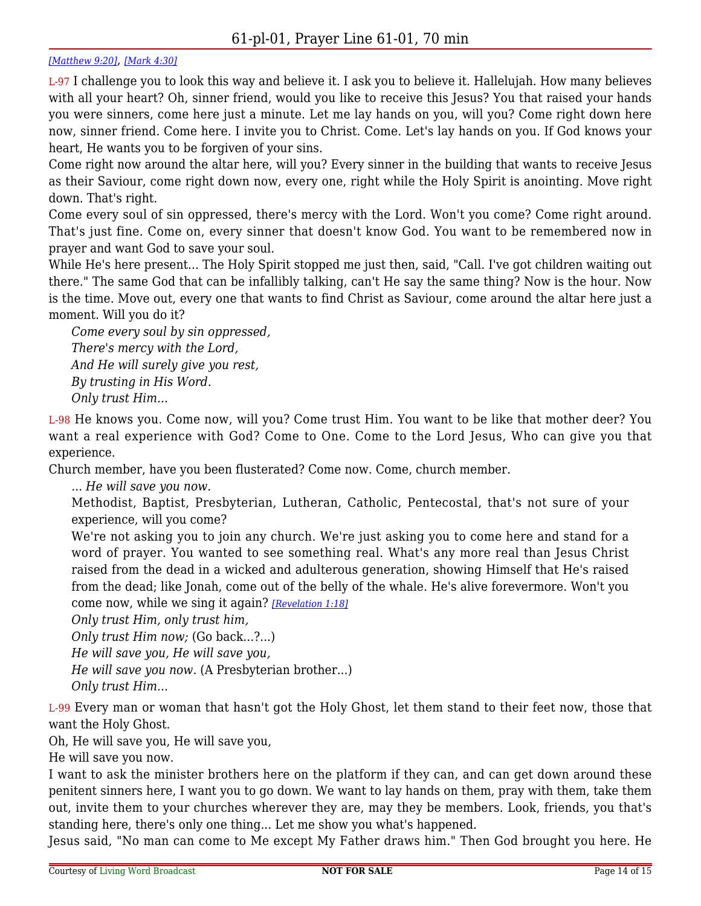#### *[\[Matthew 9:20\]](https://lwbcast.net/LWBKJVBible/?scripture=Matthew9:20)*, *[\[Mark 4:30\]](https://lwbcast.net/LWBKJVBible/?scripture=Mark4:30)*

L-97 I challenge you to look this way and believe it. I ask you to believe it. Hallelujah. How many believes with all your heart? Oh, sinner friend, would you like to receive this Jesus? You that raised your hands you were sinners, come here just a minute. Let me lay hands on you, will you? Come right down here now, sinner friend. Come here. I invite you to Christ. Come. Let's lay hands on you. If God knows your heart, He wants you to be forgiven of your sins.

Come right now around the altar here, will you? Every sinner in the building that wants to receive Jesus as their Saviour, come right down now, every one, right while the Holy Spirit is anointing. Move right down. That's right.

Come every soul of sin oppressed, there's mercy with the Lord. Won't you come? Come right around. That's just fine. Come on, every sinner that doesn't know God. You want to be remembered now in prayer and want God to save your soul.

While He's here present... The Holy Spirit stopped me just then, said, "Call. I've got children waiting out there." The same God that can be infallibly talking, can't He say the same thing? Now is the hour. Now is the time. Move out, every one that wants to find Christ as Saviour, come around the altar here just a moment. Will you do it?

*Come every soul by sin oppressed, There's mercy with the Lord, And He will surely give you rest, By trusting in His Word. Only trust Him...*

L-98 He knows you. Come now, will you? Come trust Him. You want to be like that mother deer? You want a real experience with God? Come to One. Come to the Lord Jesus, Who can give you that experience.

Church member, have you been flusterated? Come now. Come, church member.

*... He will save you now.*

Methodist, Baptist, Presbyterian, Lutheran, Catholic, Pentecostal, that's not sure of your experience, will you come?

We're not asking you to join any church. We're just asking you to come here and stand for a word of prayer. You wanted to see something real. What's any more real than Jesus Christ raised from the dead in a wicked and adulterous generation, showing Himself that He's raised from the dead; like Jonah, come out of the belly of the whale. He's alive forevermore. Won't you come now, while we sing it again? *[\[Revelation 1:18\]](https://lwbcast.net/LWBKJVBible/?scripture=Revelation1:18)*

*Only trust Him, only trust him,*

*Only trust Him now;* (Go back...?...)

*He will save you, He will save you,*

*He will save you now.* (A Presbyterian brother...)

*Only trust Him...*

L-99 Every man or woman that hasn't got the Holy Ghost, let them stand to their feet now, those that want the Holy Ghost.

Oh, He will save you, He will save you,

He will save you now.

I want to ask the minister brothers here on the platform if they can, and can get down around these penitent sinners here, I want you to go down. We want to lay hands on them, pray with them, take them out, invite them to your churches wherever they are, may they be members. Look, friends, you that's standing here, there's only one thing... Let me show you what's happened.

Jesus said, "No man can come to Me except My Father draws him." Then God brought you here. He